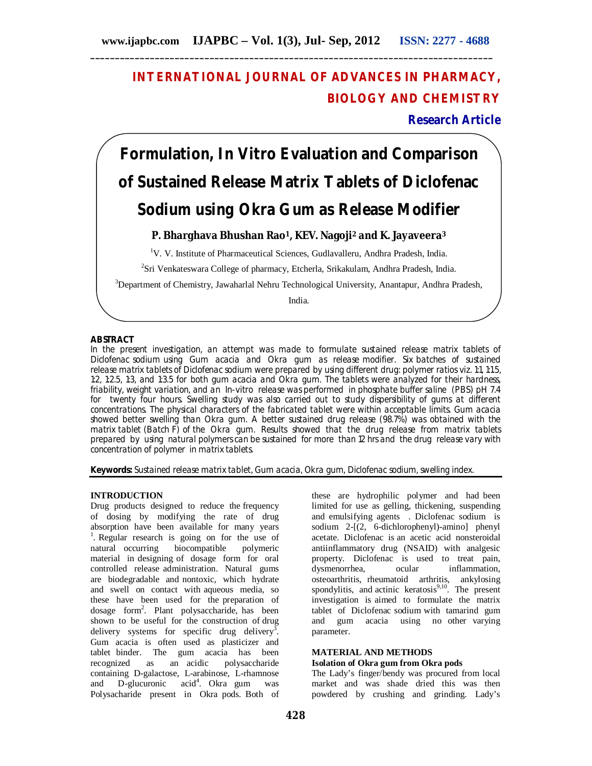# **INTERNATIONAL JOURNAL OF ADVANCES IN PHARMACY, BIOLOGY AND CHEMISTRY**

**Research Article**

# **Formulation, In Vitro Evaluation and Comparison of Sustained Release Matrix Tablets of Diclofenac Sodium using Okra Gum as Release Modifier**

# **P. Bharghava Bhushan Rao1, KEV. Nagoji<sup>2</sup> and K. Jayaveera<sup>3</sup>**

<sup>1</sup>V. V. Institute of Pharmaceutical Sciences, Gudlavalleru, Andhra Pradesh, India.

<sup>2</sup>Sri Venkateswara College of pharmacy, Etcherla, Srikakulam, Andhra Pradesh, India.

<sup>3</sup>Department of Chemistry, Jawaharlal Nehru Technological University, Anantapur, Andhra Pradesh,

India.

#### **ABSTRACT**

In the present investigation, an attempt was made to formulate sustained release matrix tablets of Diclofenac sodium using Gum acacia and Okra gum as release modifier. Six batches of sustained release matrix tablets of Diclofenac sodium were prepared by using different drug: polymer ratios viz. 1:1, 1:1.5, 1:2, 1:2.5, 1:3, and 1:3.5 for both gum acacia and Okra gum. The tablets were analyzed for their hardness, friability, weight variation, and an In-vitro release was performed in phosphate buffer saline (PBS) pH 7.4 for twenty four hours. Swelling study was also carried out to study dispersibility of gums at different concentrations. The physical characters of the fabricated tablet were within acceptable limits. Gum acacia showed better swelling than Okra gum. A better sustained drug release (98.7%) was obtained with the matrix tablet (Batch F) of the Okra gum. Results showed that the drug release from matrix tablets prepared by using natural polymers can be sustained for more than 12 hrs and the drug release vary with concentration of polymer in matrix tablets.

**Keywords:** Sustained release matrix tablet, Gum acacia, Okra gum, Diclofenac sodium, swelling index.

# **INTRODUCTION**

Drug products designed to reduce the frequency of dosing by modifying the rate of drug absorption have been available for many years <sup>1</sup>. Regular research is going on for the use of natural occurring biocompatible polymeric material in designing of dosage form for oral controlled release administration. Natural gums are biodegradable and nontoxic, which hydrate and swell on contact with aqueous media, so these have been used for the preparation of dosage form<sup>2</sup>. Plant polysaccharide, has been shown to be useful for the construction of drug delivery systems for specific drug delivery<sup>3</sup>. Gum acacia is often used as plasticizer and tablet binder. The gum acacia has been<br>recognized as an acidic polysaccharide as an acidic polysaccharide containing D-galactose, L-arabinose, L-rhamnose and D-glucuronic acid<sup>4</sup>. Okra gum was Polysacharide present in Okra pods. Both of

these are hydrophilic polymer and had been limited for use as gelling, thickening, suspending and emulsifying agents . Diclofenac sodium is sodium 2-[(2, 6-dichlorophenyl)-amino] phenyl acetate. Diclofenac is an acetic acid nonsteroidal antiinflammatory drug (NSAID) with analgesic property. Diclofenac is used to treat pain,<br>dysmenorrhea, ocular inflammation, inflammation, osteoarthritis, rheumatoid arthritis, ankylosing spondylitis, and actinic keratosis $9,10$ . The present investigation is aimed to formulate the matrix tablet of Diclofenac sodium with tamarind gum and gum acacia using no other varying parameter.

#### **MATERIAL AND METHODS Isolation of Okra gum from Okra pods**

The Lady's finger/bendy was procured from local market and was shade dried this was then powdered by crushing and grinding. Lady's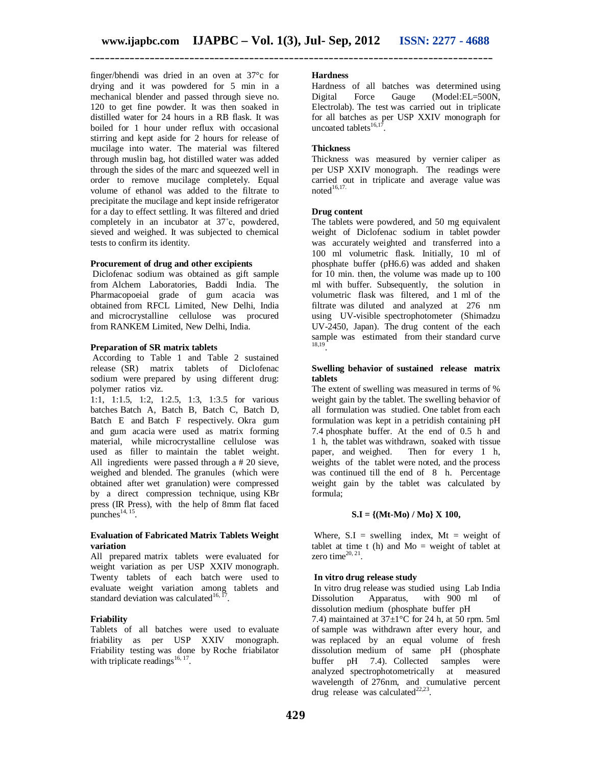finger/bhendi was dried in an oven at 37°c for drying and it was powdered for 5 min in a mechanical blender and passed through sieve no. 120 to get fine powder. It was then soaked in distilled water for 24 hours in a RB flask. It was boiled for 1 hour under reflux with occasional stirring and kept aside for 2 hours for release of mucilage into water. The material was filtered through muslin bag, hot distilled water was added through the sides of the marc and squeezed well in order to remove mucilage completely. Equal volume of ethanol was added to the filtrate to precipitate the mucilage and kept inside refrigerator for a day to effect settling. It was filtered and dried completely in an incubator at 37˚c, powdered, sieved and weighed. It was subjected to chemical tests to confirm its identity.

#### **Procurement of drug and other excipients**

Diclofenac sodium was obtained as gift sample from Alchem Laboratories, Baddi India. The Pharmacopoeial grade of gum acacia was obtained from RFCL Limited, New Delhi, India and microcrystalline cellulose was procured from RANKEM Limited, New Delhi, India.

#### **Preparation of SR matrix tablets**

According to Table 1 and Table 2 sustained release (SR) matrix tablets of Diclofenac sodium were prepared by using different drug: polymer ratios viz.

1:1, 1:1.5, 1:2, 1:2.5, 1:3, 1:3.5 for various batches Batch A, Batch B, Batch C, Batch D, Batch E and Batch F respectively. Okra gum and gum acacia were used as matrix forming material, while microcrystalline cellulose was used as filler to maintain the tablet weight. All ingredients were passed through a # 20 sieve, weighed and blended. The granules (which were obtained after wet granulation) were compressed by a direct compression technique, using KBr press (IR Press), with the help of 8mm flat faced  $p$ unches $^{14, 15}$ .

# **Evaluation of Fabricated Matrix Tablets Weight variation**

All prepared matrix tablets were evaluated for weight variation as per USP XXIV monograph. Twenty tablets of each batch were used to evaluate weight variation among tablets and standard deviation was calculated $16, 17$ .

# **Friability**

Tablets of all batches were used to evaluate friability as per USP XXIV monograph. Friability testing was done by Roche friabilator with triplicate readings $16, 17$ .

# **Hardness**

Hardness of all batches was determined using Digital Force Gauge (Model:EL=500N, Electrolab). The test was carried out in triplicate for all batches as per USP XXIV monograph for uncoated tablets $^{16,17}$ .

# **Thickness**

Thickness was measured by vernier caliper as per USP XXIV monograph. The readings were carried out in triplicate and average value was noted $16,17$ .

#### **Drug content**

The tablets were powdered, and 50 mg equivalent weight of Diclofenac sodium in tablet powder was accurately weighted and transferred into a 100 ml volumetric flask. Initially, 10 ml of phosphate buffer (pH6.6) was added and shaken for 10 min. then, the volume was made up to 100 ml with buffer. Subsequently, the solution in volumetric flask was filtered, and 1 ml of the filtrate was diluted and analyzed at 276 nm using UV-visible spectrophotometer (Shimadzu UV-2450, Japan). The drug content of the each sample was estimated from their standard curve 18,19 .

#### **Swelling behavior of sustained release matrix tablets**

The extent of swelling was measured in terms of % weight gain by the tablet. The swelling behavior of all formulation was studied. One tablet from each formulation was kept in a petridish containing pH 7.4 phosphate buffer. At the end of 0.5 h and 1 h, the tablet was withdrawn, soaked with tissue paper, and weighed. Then for every 1 h, weights of the tablet were noted, and the process was continued till the end of 8 h. Percentage weight gain by the tablet was calculated by formula;

#### **S.I = {(Mt-Mo) / Mo} X 100,**

Where,  $S.I =$  swelling index,  $Mt =$  weight of tablet at time t (h) and  $Mo = weight of tablet at$ zero time $^{20, 21}$ .

# **In vitro drug release study**

In vitro drug release was studied using Lab India Dissolution Apparatus, with 900 ml of dissolution medium (phosphate buffer pH

7.4) maintained at  $37\pm1\degree$ C for 24 h, at 50 rpm. 5ml of sample was withdrawn after every hour, and was replaced by an equal volume of fresh dissolution medium of same pH (phosphate buffer pH 7.4). Collected samples were analyzed spectrophotometrically at measured wavelength of 276nm, and cumulative percent drug release was calculated $^{22,23}$ .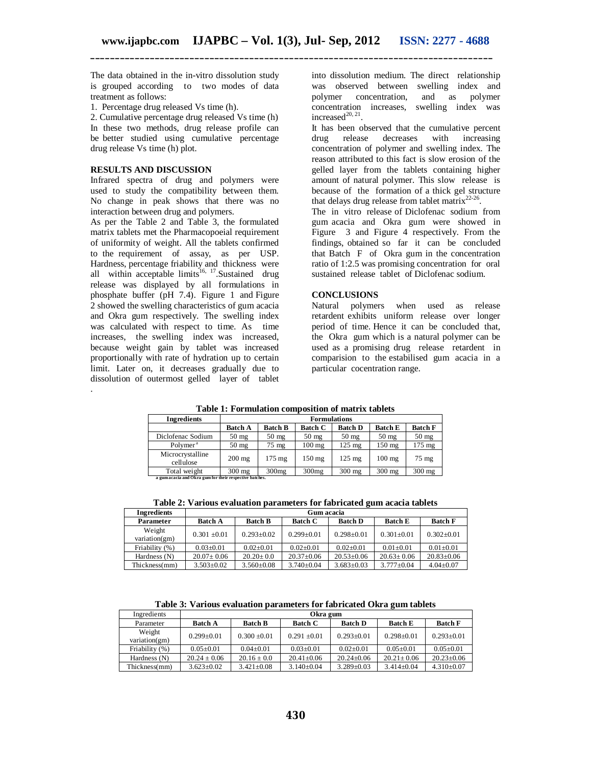The data obtained in the in-vitro dissolution study is grouped according to two modes of data treatment as follows:

1. Percentage drug released Vs time (h).

2. Cumulative percentage drug released Vs time (h) In these two methods, drug release profile can be better studied using cumulative percentage drug release Vs time (h) plot.

#### **RESULTS AND DISCUSSION**

Г

.

Infrared spectra of drug and polymers were used to study the compatibility between them. No change in peak shows that there was no interaction between drug and polymers.

As per the Table 2 and Table 3, the formulated matrix tablets met the Pharmacopoeial requirement of uniformity of weight. All the tablets confirmed to the requirement of assay, as per USP. Hardness, percentage friability and thickness were all within acceptable  $\text{limits}^{16, 17}$ . Sustained drug release was displayed by all formulations in phosphate buffer (pH 7.4). Figure 1 and Figure 2 showed the swelling characteristics of gum acacia and Okra gum respectively. The swelling index was calculated with respect to time. As time increases, the swelling index was increased, because weight gain by tablet was increased proportionally with rate of hydration up to certain limit. Later on, it decreases gradually due to dissolution of outermost gelled layer of tablet

into dissolution medium. The direct relationship was observed between swelling index and polymer concentration, and as polymer concentration increases, swelling index was increased $^{20, 21}$ .

It has been observed that the cumulative percent<br>drug release decreases with increasing drug release decreases with increasing concentration of polymer and swelling index. The reason attributed to this fact is slow erosion of the gelled layer from the tablets containing higher amount of natural polymer. This slow release is because of the formation of a thick gel structure that delays drug release from tablet matrix $22-26$ .

The in vitro release of Diclofenac sodium from gum acacia and Okra gum were showed in Figure 3 and Figure 4 respectively. From the findings, obtained so far it can be concluded that Batch F of Okra gum in the concentration ratio of 1:2.5 was promising concentration for oral sustained release tablet of Diclofenac sodium.

# **CONCLUSIONS**

Natural polymers when used as release retardent exhibits uniform release over longer period of time. Hence it can be concluded that, the Okra gum which is a natural polymer can be used as a promising drug release retardent in comparision to the estabilised gum acacia in a particular cocentration range.

|             | Table 1: Formulation composition of matrix tablets |                                       |  |  |                |  |
|-------------|----------------------------------------------------|---------------------------------------|--|--|----------------|--|
| Ingredients | <b>Formulations</b>                                |                                       |  |  |                |  |
|             |                                                    | Ratch A   Ratch R   Ratch C   Ratch D |  |  | <b>Ratch E</b> |  |

| --------------                                          |                  |                   |                  |                  |                  |                  |
|---------------------------------------------------------|------------------|-------------------|------------------|------------------|------------------|------------------|
|                                                         | <b>Batch A</b>   | <b>Batch B</b>    | <b>Batch C</b>   | <b>Batch D</b>   | <b>Batch E</b>   | <b>Batch F</b>   |
| Diclofenac Sodium                                       | $50 \text{ mg}$  | $50 \text{ mg}$   | $50 \text{ mg}$  | $50 \text{ mg}$  | $50 \text{ mg}$  | $50 \text{ mg}$  |
| Polymer <sup>a</sup>                                    | $50 \text{ mg}$  | 75 mg             | $100 \text{ mg}$ | $125 \text{ mg}$ | $150 \text{ mg}$ | $175 \text{ mg}$ |
| Microcrystalline<br>cellulose                           | $200$ mg         | $175 \text{ mg}$  | $150 \text{ mg}$ | $125 \text{ mg}$ | $100$ mg         | $75 \text{ mg}$  |
| Total weight                                            | $300 \text{ mg}$ | 300 <sub>mg</sub> | 300mg            | $300$ mg         | $300$ mg         | $300$ mg         |
| a gum acacia and Okra gum for their respective batches. |                  |                   |                  |                  |                  |                  |

**Table 2: Various evaluation parameters for fabricated gum acacia tablets**

| <b>Ingredients</b>      | Gum acacia       |                  |                  |                  |                  |                  |
|-------------------------|------------------|------------------|------------------|------------------|------------------|------------------|
| Parameter               | <b>Batch A</b>   | <b>Batch B</b>   | <b>Batch C</b>   | <b>Batch D</b>   | <b>Batch E</b>   | <b>Batch F</b>   |
| Weight<br>variation(gm) | $0.301 \pm 0.01$ | $0.293 + 0.02$   | $0.299 + 0.01$   | $0.298 + 0.01$   | $0.301 + 0.01$   | $0.302+0.01$     |
| Friability (%)          | $0.03 + 0.01$    | $0.02+0.01$      | $0.02 + 0.01$    | $0.02 + 0.01$    | $0.01 \pm 0.01$  | $0.01 \pm 0.01$  |
| Hardness (N)            | $20.07 \pm 0.06$ | $20.20 + 0.0$    | $20.37 \pm 0.06$ | $20.53+0.06$     | $20.63 \pm 0.06$ | $20.83 \pm 0.06$ |
| Thickness(mm)           | $3.503 \pm 0.02$ | $3.560 \pm 0.08$ | $3.740 \pm 0.04$ | $3.683 \pm 0.03$ | $3.777 \pm 0.04$ | $4.04 \pm 0.07$  |

**Table 3: Various evaluation parameters for fabricated Okra gum tablets**

| Ingredients             | Okra gum         |                  |                  |                  |                  |                  |
|-------------------------|------------------|------------------|------------------|------------------|------------------|------------------|
| Parameter               | <b>Batch A</b>   | <b>Batch B</b>   | <b>Batch C</b>   | <b>Batch D</b>   | <b>Batch E</b>   | <b>Batch F</b>   |
| Weight<br>variation(gm) | $0.299 + 0.01$   | $0.300 + 0.01$   | $0.291 + 0.01$   | $0.293 + 0.01$   | $0.298 + 0.01$   | $0.293+0.01$     |
| Friability (%)          | $0.05 + 0.01$    | $0.04 + 0.01$    | $0.03 + 0.01$    | $0.02 + 0.01$    | $0.05 + 0.01$    | $0.05 + 0.01$    |
| Hardness (N)            | $20.24 + 0.06$   | $20.16 + 0.0$    | $20.41 + 0.06$   | $20.24 + 0.06$   | $20.21 \pm 0.06$ | $20.23 \pm 0.06$ |
| Thickness(mm)           | $3.623 \pm 0.02$ | $3.421 \pm 0.08$ | $3.140 \pm 0.04$ | $3.289 \pm 0.03$ | $3.414 + 0.04$   | $4.310\pm0.07$   |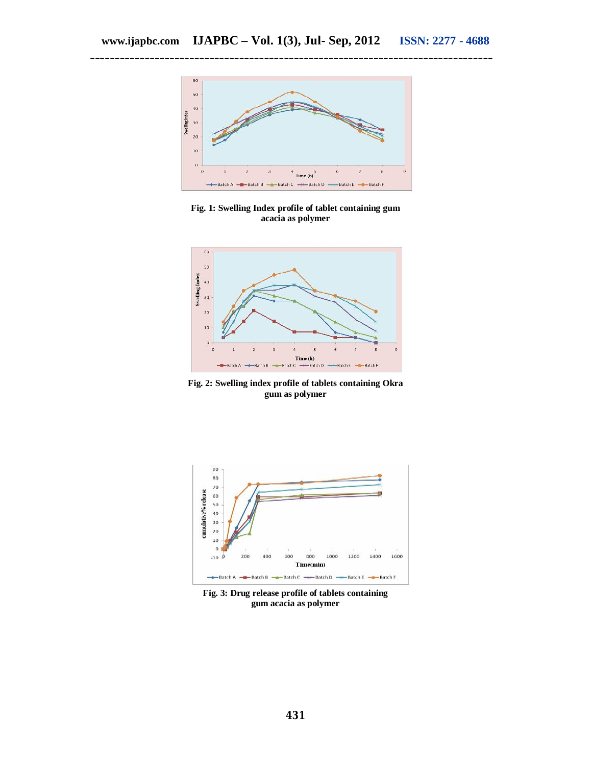

**Fig. 1: Swelling Index profile of tablet containing gum acacia as polymer**



**Fig. 2: Swelling index profile of tablets containing Okra gum as polymer**



**Fig. 3: Drug release profile of tablets containing gum acacia as polymer**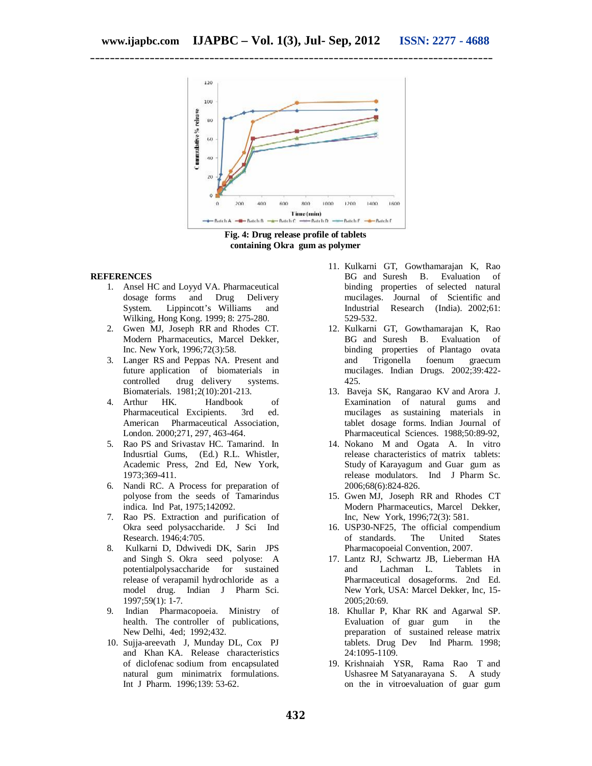

**Fig. 4: Drug release profile of tablets containing Okra gum as polymer**

# **REFERENCES**

- 1. Ansel HC and Loyyd VA. Pharmaceutical dosage forms and Drug Delivery System. Lippincott's Williams and Wilking, Hong Kong. 1999; 8: 275-280.
- 2. Gwen MJ, Joseph RR and Rhodes CT. Modern Pharmaceutics, Marcel Dekker, Inc. New York, 1996;72(3):58.
- 3. Langer RS and Peppas NA. Present and future application of biomaterials in controlled drug delivery systems. Biomaterials. 1981;2(10):201-213.
- 4. Arthur HK. Handbook of Pharmaceutical Excipients. 3rd ed. American Pharmaceutical Association, London. 2000;271, 297, 463-464.
- 5. Rao PS and Srivastav HC. Tamarind. In Indusrtial Gums, (Ed.) R.L. Whistler, Academic Press, 2nd Ed, New York, 1973;369-411.
- 6. Nandi RC. A Process for preparation of polyose from the seeds of Tamarindus indica. Ind Pat, 1975;142092.
- 7. Rao PS. Extraction and purification of Okra seed polysaccharide. J Sci Ind Research. 1946;4:705.
- 8. Kulkarni D, Ddwivedi DK, Sarin JPS and Singh S. Okra seed polyose: A potentialpolysaccharide for sustained release of verapamil hydrochloride as a model drug. Indian J Pharm Sci. 1997;59(1): 1-7.
- 9. Indian Pharmacopoeia. Ministry of health. The controller of publications, New Delhi, 4ed; 1992;432.
- 10. Sujja-areevath J, Munday DL, Cox PJ and Khan KA. Release characteristics of diclofenac sodium from encapsulated natural gum minimatrix formulations. Int J Pharm. 1996;139: 53-62.
- 11. Kulkarni GT, Gowthamarajan K, Rao BG and Suresh B. Evaluation of binding properties of selected natural mucilages. Journal of Scientific and Industrial Research (India). 2002;61: 529-532.
- 12. Kulkarni GT, Gowthamarajan K, Rao BG and Suresh B. Evaluation of binding properties of Plantago ovata and Trigonella foenum graecum mucilages. Indian Drugs. 2002;39:422- 425.
- 13. Baveja SK, Rangarao KV and Arora J. Examination of natural gums and mucilages as sustaining materials in tablet dosage forms. Indian Journal of Pharmaceutical Sciences. 1988;50:89-92,
- 14. Nokano M and Ogata A. In vitro release characteristics of matrix tablets: Study of Karayagum and Guar gum as release modulators. Ind J Pharm Sc. 2006;68(6):824-826.
- 15. Gwen MJ, Joseph RR and Rhodes CT Modern Pharmaceutics, Marcel Dekker, Inc, New York, 1996;72(3): 581.
- 16. USP30-NF25, The official compendium of standards. The United States Pharmacopoeial Convention, 2007.
- 17. Lantz RJ, Schwartz JB, Lieberman HA and Lachman L. Tablets in Pharmaceutical dosageforms. 2nd Ed. New York, USA: Marcel Dekker, Inc, 15- 2005;20:69.
- 18. Khullar P, Khar RK and Agarwal SP. Evaluation of guar gum in the preparation of sustained release matrix tablets. Drug Dev Ind Pharm. 1998; 24:1095-1109.
- 19. Krishnaiah YSR, Rama Rao T and Ushasree M Satyanarayana S. A study on the in vitroevaluation of guar gum